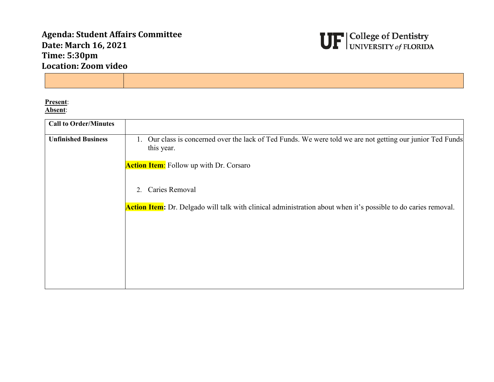## **Agenda: Student Affairs Committee Date: March 16, 2021 Time: 5:30pm Location: Zoom video**



**Present**: **Absent**:

| <b>Call to Order/Minutes</b> |                                                                                                                                       |
|------------------------------|---------------------------------------------------------------------------------------------------------------------------------------|
| <b>Unfinished Business</b>   | Our class is concerned over the lack of Ted Funds. We were told we are not getting our junior Ted Funds<br>$\mathbf{L}$<br>this year. |
|                              | <b>Action Item:</b> Follow up with Dr. Corsaro                                                                                        |
|                              | Caries Removal<br>2.                                                                                                                  |
|                              | <b>Action Item:</b> Dr. Delgado will talk with clinical administration about when it's possible to do caries removal.                 |
|                              |                                                                                                                                       |
|                              |                                                                                                                                       |
|                              |                                                                                                                                       |
|                              |                                                                                                                                       |